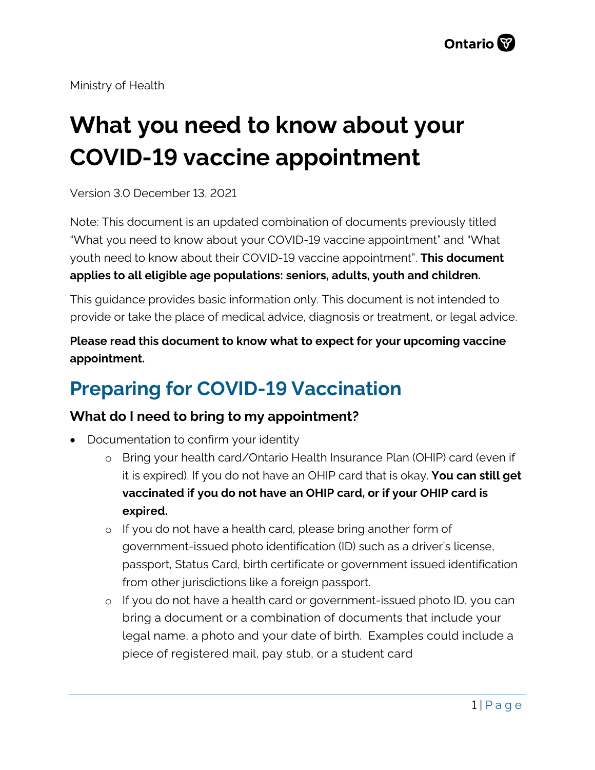Ministry of Health

# **What you need to know about your COVID-19 vaccine appointment**

Version 3.0 December 13, 2021

Note: This document is an updated combination of documents previously titled "What you need to know about your COVID-19 vaccine appointment" and "What youth need to know about their COVID-19 vaccine appointment". **This document applies to all eligible age populations: seniors, adults, youth and children.**

This guidance provides basic information only. This document is not intended to provide or take the place of medical advice, diagnosis or treatment, or legal advice.

**Please read this document to know what to expect for your upcoming vaccine appointment.**

# **Preparing for COVID-19 Vaccination**

# **What do I need to bring to my appointment?**

- Documentation to confirm your identity
	- o Bring your health card/Ontario Health Insurance Plan (OHIP) card (even if it is expired). If you do not have an OHIP card that is okay. **You can still get vaccinated if you do not have an OHIP card, or if your OHIP card is expired.**
	- o If you do not have a health card, please bring another form of government-issued photo identification (ID) such as a driver's license, passport, Status Card, birth certificate or government issued identification from other jurisdictions like a foreign passport.
	- o If you do not have a health card or government-issued photo ID, you can bring a document or a combination of documents that include your legal name, a photo and your date of birth. Examples could include a piece of registered mail, pay stub, or a student card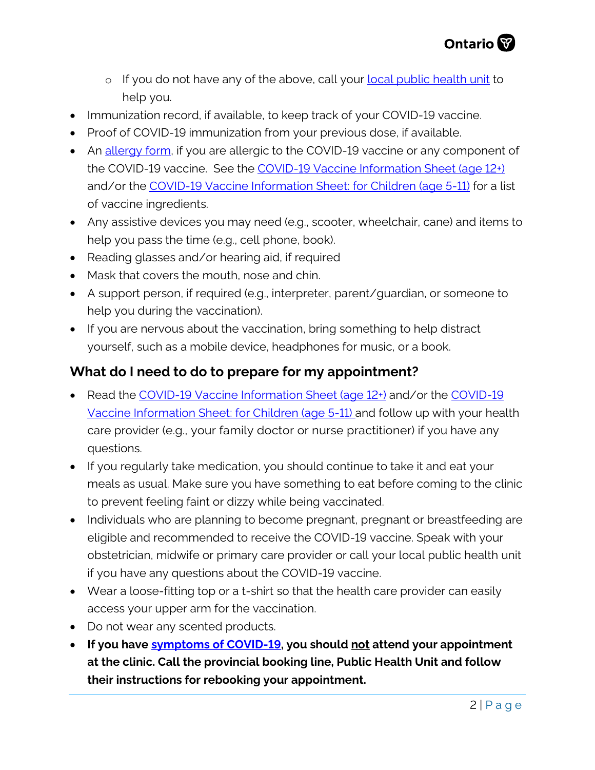

- o If you do not have any of the above, call your **local public health unit** to help you.
- Immunization record, if available, to keep track of your COVID-19 vaccine.
- Proof of COVID-19 immunization from your previous dose, if available.
- An [allergy form,](https://www.health.gov.on.ca/en/pro/programs/publichealth/coronavirus/docs/vaccine/COVID-19_special_populations_vaccination_allergy_form.pdf) if you are allergic to the COVID-19 vaccine or any component of the COVID-19 vaccine. See the [COVID-19 Vaccine Information Sheet \(age 12+\)](https://www.health.gov.on.ca/en/pro/programs/publichealth/coronavirus/docs/vaccine/COVID-19_vaccine_info_sheet.pdf) and/or the [COVID-19 Vaccine Information Sheet: for Children \(age 5-11\)](https://www.health.gov.on.ca/en/pro/programs/publichealth/coronavirus/docs/vaccine/COVID-19_vaccine_info_sheet_kids_5_11.pdf) for a list of vaccine ingredients.
- Any assistive devices you may need (e.g., scooter, wheelchair, cane) and items to help you pass the time (e.g., cell phone, book).
- Reading glasses and/or hearing aid, if required
- Mask that covers the mouth, nose and chin.
- A support person, if required (e.g., interpreter, parent/guardian, or someone to help you during the vaccination).
- If you are nervous about the vaccination, bring something to help distract yourself, such as a mobile device, headphones for music, or a book.

#### **What do I need to do to prepare for my appointment?**

- Read the [COVID-19 Vaccine Information Sheet \(age 12+\)](https://www.health.gov.on.ca/en/pro/programs/publichealth/coronavirus/docs/vaccine/COVID-19_vaccine_info_sheet.pdf) and/or the COVID-19 [Vaccine Information Sheet: for Children \(age 5-11\)](https://www.health.gov.on.ca/en/pro/programs/publichealth/coronavirus/docs/vaccine/COVID-19_vaccine_info_sheet_kids_5_11.pdf) and follow up with your health care provider (e.g., your family doctor or nurse practitioner) if you have any questions.
- If you regularly take medication, you should continue to take it and eat your meals as usual. Make sure you have something to eat before coming to the clinic to prevent feeling faint or dizzy while being vaccinated.
- Individuals who are planning to become pregnant, pregnant or breastfeeding are eligible and recommended to receive the COVID-19 vaccine. Speak with your obstetrician, midwife or primary care provider or call your local public health unit if you have any questions about the COVID-19 vaccine.
- Wear a loose-fitting top or a t-shirt so that the health care provider can easily access your upper arm for the vaccination.
- Do not wear any scented products.
- **If you have [symptoms of COVID-19,](https://www.canada.ca/en/public-health/services/diseases/2019-novel-coronavirus-infection/symptoms.html) you should not attend your appointment at the clinic. Call the provincial booking line, Public Health Unit and follow their instructions for rebooking your appointment.**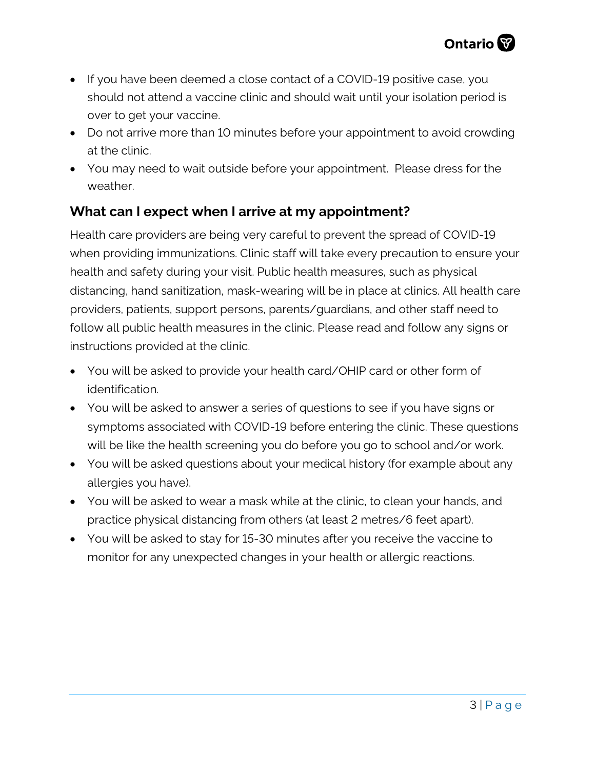- If you have been deemed a close contact of a COVID-19 positive case, you should not attend a vaccine clinic and should wait until your isolation period is over to get your vaccine.
- Do not arrive more than 10 minutes before your appointment to avoid crowding at the clinic.
- You may need to wait outside before your appointment. Please dress for the weather.

### **What can I expect when I arrive at my appointment?**

Health care providers are being very careful to prevent the spread of COVID-19 when providing immunizations. Clinic staff will take every precaution to ensure your health and safety during your visit. Public health measures, such as physical distancing, hand sanitization, mask-wearing will be in place at clinics. All health care providers, patients, support persons, parents/guardians, and other staff need to follow all public health measures in the clinic. Please read and follow any signs or instructions provided at the clinic.

- You will be asked to provide your health card/OHIP card or other form of identification.
- You will be asked to answer a series of questions to see if you have signs or symptoms associated with COVID-19 before entering the clinic. These questions will be like the health screening you do before you go to school and/or work.
- You will be asked questions about your medical history (for example about any allergies you have).
- You will be asked to wear a mask while at the clinic, to clean your hands, and practice physical distancing from others (at least 2 metres/6 feet apart).
- You will be asked to stay for 15-30 minutes after you receive the vaccine to monitor for any unexpected changes in your health or allergic reactions.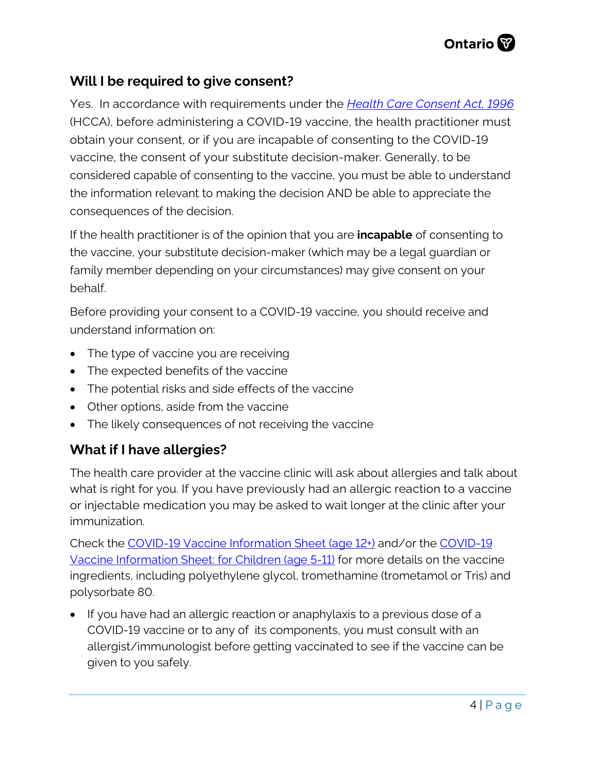

#### **Will I be required to give consent?**

Yes. In accordance with requirements under the *[Health Care Consent Act, 1996](https://www.ontario.ca/laws/statute/96h02)* (HCCA), before administering a COVID-19 vaccine, the health practitioner must obtain your consent, or if you are incapable of consenting to the COVID-19 vaccine, the consent of your substitute decision-maker. Generally, to be considered capable of consenting to the vaccine, you must be able to understand the information relevant to making the decision AND be able to appreciate the consequences of the decision.

If the health practitioner is of the opinion that you are **incapable** of consenting to the vaccine, your substitute decision-maker (which may be a legal guardian or family member depending on your circumstances) may give consent on your behalf.

Before providing your consent to a COVID-19 vaccine, you should receive and understand information on:

- The type of vaccine you are receiving
- The expected benefits of the vaccine
- The potential risks and side effects of the vaccine
- Other options, aside from the vaccine
- The likely consequences of not receiving the vaccine

#### **What if I have allergies?**

The health care provider at the vaccine clinic will ask about allergies and talk about what is right for you. If you have previously had an allergic reaction to a vaccine or injectable medication you may be asked to wait longer at the clinic after your immunization.

Check the [COVID-19 Vaccine Information Sheet \(age 12+\)](https://www.health.gov.on.ca/en/pro/programs/publichealth/coronavirus/docs/vaccine/COVID-19_vaccine_info_sheet.pdf) and/or the [COVID-19](https://www.health.gov.on.ca/en/pro/programs/publichealth/coronavirus/docs/vaccine/COVID-19_vaccine_info_sheet_kids_5_11.pdf)  [Vaccine Information Sheet: for Children \(age 5-11\)](https://www.health.gov.on.ca/en/pro/programs/publichealth/coronavirus/docs/vaccine/COVID-19_vaccine_info_sheet_kids_5_11.pdf) for more details on the vaccine ingredients, including polyethylene glycol, tromethamine (trometamol or Tris) and polysorbate 80.

• If you have had an allergic reaction or anaphylaxis to a previous dose of a COVID-19 vaccine or to any of its components, you must consult with an allergist/immunologist before getting vaccinated to see if the vaccine can be given to you safely.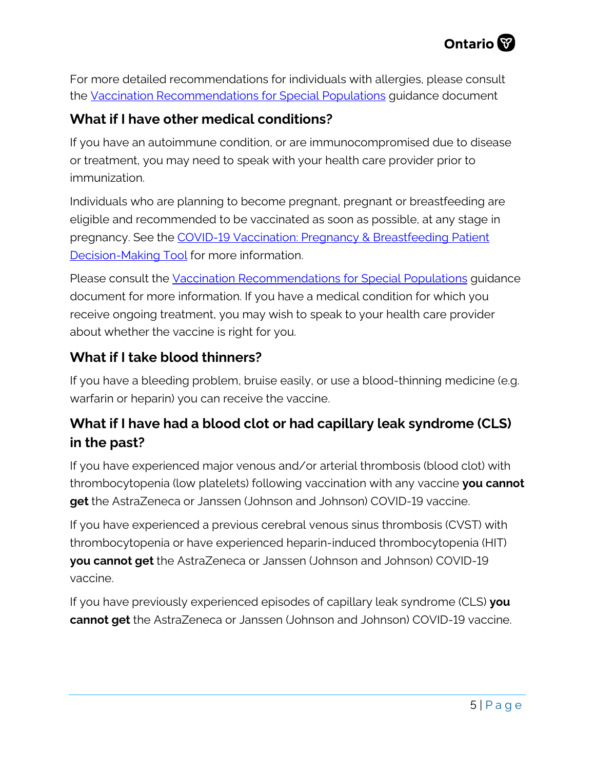

For more detailed recommendations for individuals with allergies, please consult the [Vaccination Recommendations for Special Populations](https://www.health.gov.on.ca/en/pro/programs/publichealth/coronavirus/docs/vaccine/COVID-19_vaccination_rec_special_populations.pdf) guidance document

#### **What if I have other medical conditions?**

If you have an autoimmune condition, or are immunocompromised due to disease or treatment, you may need to speak with your health care provider prior to immunization.

Individuals who are planning to become pregnant, pregnant or breastfeeding are eligible and recommended to be vaccinated as soon as possible, at any stage in pregnancy. See the [COVID-19 Vaccination: Pregnancy & Breastfeeding Patient](https://www.health.gov.on.ca/en/pro/programs/publichealth/coronavirus/docs/vaccine/COVID-19_vaccination_pregnancy_decision_making_support_tool.pdf)  [Decision-Making Tool](https://www.health.gov.on.ca/en/pro/programs/publichealth/coronavirus/docs/vaccine/COVID-19_vaccination_pregnancy_decision_making_support_tool.pdf) for more information.

Please consult the [Vaccination Recommendations for Special Populations](https://www.health.gov.on.ca/en/pro/programs/publichealth/coronavirus/docs/vaccine/COVID-19_vaccination_rec_special_populations.pdf) guidance document for more information. If you have a medical condition for which you receive ongoing treatment, you may wish to speak to your health care provider about whether the vaccine is right for you.

#### **What if I take blood thinners?**

If you have a bleeding problem, bruise easily, or use a blood-thinning medicine (e.g. warfarin or heparin) you can receive the vaccine.

# **What if I have had a blood clot or had capillary leak syndrome (CLS) in the past?**

If you have experienced major venous and/or arterial thrombosis (blood clot) with thrombocytopenia (low platelets) following vaccination with any vaccine **you cannot get** the AstraZeneca or Janssen (Johnson and Johnson) COVID-19 vaccine.

If you have experienced a previous cerebral venous sinus thrombosis (CVST) with thrombocytopenia or have experienced heparin-induced thrombocytopenia (HIT) **you cannot get** the AstraZeneca or Janssen (Johnson and Johnson) COVID-19 vaccine.

If you have previously experienced episodes of capillary leak syndrome (CLS) **you cannot get** the AstraZeneca or Janssen (Johnson and Johnson) COVID-19 vaccine.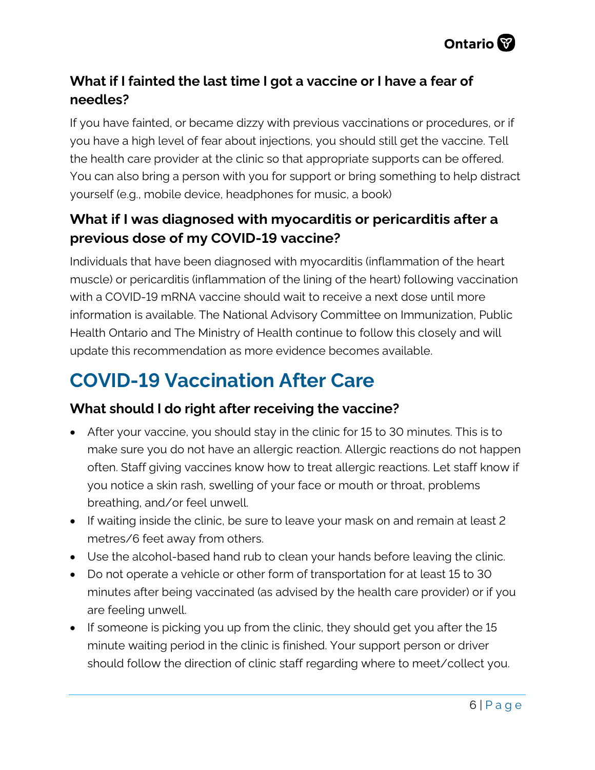

# **What if I fainted the last time I got a vaccine or I have a fear of needles?**

If you have fainted, or became dizzy with previous vaccinations or procedures, or if you have a high level of fear about injections, you should still get the vaccine. Tell the health care provider at the clinic so that appropriate supports can be offered. You can also bring a person with you for support or bring something to help distract yourself (e.g., mobile device, headphones for music, a book)

## **What if I was diagnosed with myocarditis or pericarditis after a previous dose of my COVID-19 vaccine?**

Individuals that have been diagnosed with myocarditis (inflammation of the heart muscle) or pericarditis (inflammation of the lining of the heart) following vaccination with a COVID-19 mRNA vaccine should wait to receive a next dose until more information is available. The National Advisory Committee on Immunization, Public Health Ontario and The Ministry of Health continue to follow this closely and will update this recommendation as more evidence becomes available.

# **COVID-19 Vaccination After Care**

### **What should I do right after receiving the vaccine?**

- After your vaccine, you should stay in the clinic for 15 to 30 minutes. This is to make sure you do not have an allergic reaction. Allergic reactions do not happen often. Staff giving vaccines know how to treat allergic reactions. Let staff know if you notice a skin rash, swelling of your face or mouth or throat, problems breathing, and/or feel unwell.
- If waiting inside the clinic, be sure to leave your mask on and remain at least 2 metres/6 feet away from others.
- Use the alcohol-based hand rub to clean your hands before leaving the clinic.
- Do not operate a vehicle or other form of transportation for at least 15 to 30 minutes after being vaccinated (as advised by the health care provider) or if you are feeling unwell.
- If someone is picking you up from the clinic, they should get you after the 15 minute waiting period in the clinic is finished. Your support person or driver should follow the direction of clinic staff regarding where to meet/collect you.